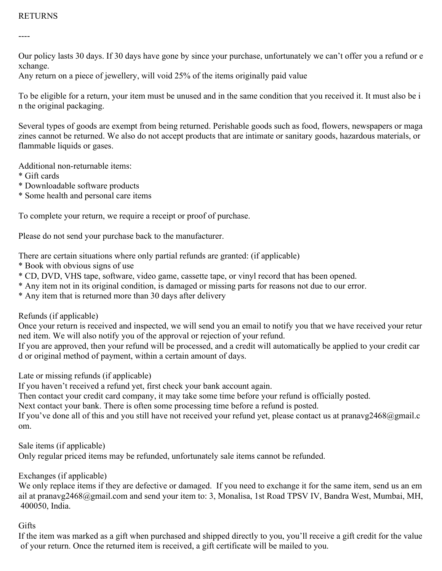## RETURNS

----

Our policy lasts 30 days. If 30 days have gone by since your purchase, unfortunately we can't offer you a refund or e xchange.

Any return on a piece of jewellery, will void 25% of the items originally paid value

To be eligible for a return, your item must be unused and in the same condition that you received it. It must also be i n the original packaging.

Several types of goods are exempt from being returned. Perishable goods such as food, flowers, newspapers or maga zines cannot be returned. We also do not accept products that are intimate or sanitary goods, hazardous materials, or flammable liquids or gases.

Additional non-returnable items:

- \* Gift cards
- \* Downloadable software products
- \* Some health and personal care items

To complete your return, we require a receipt or proof of purchase.

Please do not send your purchase back to the manufacturer.

There are certain situations where only partial refunds are granted: (if applicable)

- \* Book with obvious signs of use
- \* CD, DVD, VHS tape, software, video game, cassette tape, or vinyl record that has been opened.
- \* Any item not in its original condition, is damaged or missing parts for reasons not due to our error.
- \* Any item that is returned more than 30 days after delivery

Refunds (if applicable)

Once your return is received and inspected, we will send you an email to notify you that we have received your retur ned item. We will also notify you of the approval or rejection of your refund.

If you are approved, then your refund will be processed, and a credit will automatically be applied to your credit car d or original method of payment, within a certain amount of days.

Late or missing refunds (if applicable)

If you haven't received a refund yet, first check your bank account again.

Then contact your credit card company, it may take some time before your refund is officially posted.

Next contact your bank. There is often some processing time before a refund is posted.

If you've done all of this and you still have not received your refund yet, please contact us at pranavg2468@gmail.c om.

Sale items (if applicable)

Only regular priced items may be refunded, unfortunately sale items cannot be refunded.

Exchanges (if applicable)

We only replace items if they are defective or damaged. If you need to exchange it for the same item, send us an em ail at pranavg2468@gmail.com and send your item to: 3, Monalisa, 1st Road TPSV IV, Bandra West, Mumbai, MH, 400050, India.

## **Gifts**

If the item was marked as a gift when purchased and shipped directly to you, you'll receive a gift credit for the value of your return. Once the returned item is received, a gift certificate will be mailed to you.